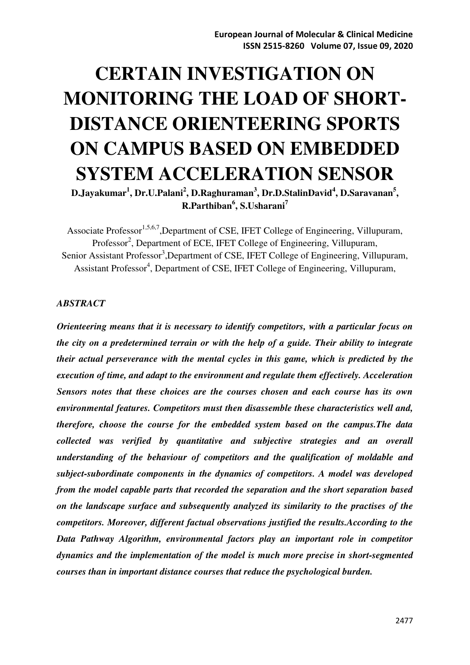# **CERTAIN INVESTIGATION ON MONITORING THE LOAD OF SHORT-DISTANCE ORIENTEERING SPORTS ON CAMPUS BASED ON EMBEDDED SYSTEM ACCELERATION SENSOR**

**D.Jayakumar<sup>1</sup> , Dr.U.Palani<sup>2</sup> , D.Raghuraman<sup>3</sup> , Dr.D.StalinDavid<sup>4</sup> , D.Saravanan<sup>5</sup> , R.Parthiban<sup>6</sup> , S.Usharani<sup>7</sup>**

Associate Professor<sup>1,5,6,7</sup>,Department of CSE, IFET College of Engineering, Villupuram, Professor<sup>2</sup>, Department of ECE, IFET College of Engineering, Villupuram, Senior Assistant Professor<sup>3</sup>, Department of CSE, IFET College of Engineering, Villupuram, Assistant Professor<sup>4</sup>, Department of CSE, IFET College of Engineering, Villupuram,

#### *ABSTRACT*

*Orienteering means that it is necessary to identify competitors, with a particular focus on the city on a predetermined terrain or with the help of a guide. Their ability to integrate their actual perseverance with the mental cycles in this game, which is predicted by the execution of time, and adapt to the environment and regulate them effectively. Acceleration Sensors notes that these choices are the courses chosen and each course has its own environmental features. Competitors must then disassemble these characteristics well and, therefore, choose the course for the embedded system based on the campus.The data collected was verified by quantitative and subjective strategies and an overall understanding of the behaviour of competitors and the qualification of moldable and subject-subordinate components in the dynamics of competitors. A model was developed from the model capable parts that recorded the separation and the short separation based on the landscape surface and subsequently analyzed its similarity to the practises of the competitors. Moreover, different factual observations justified the results.According to the Data Pathway Algorithm, environmental factors play an important role in competitor dynamics and the implementation of the model is much more precise in short-segmented courses than in important distance courses that reduce the psychological burden.*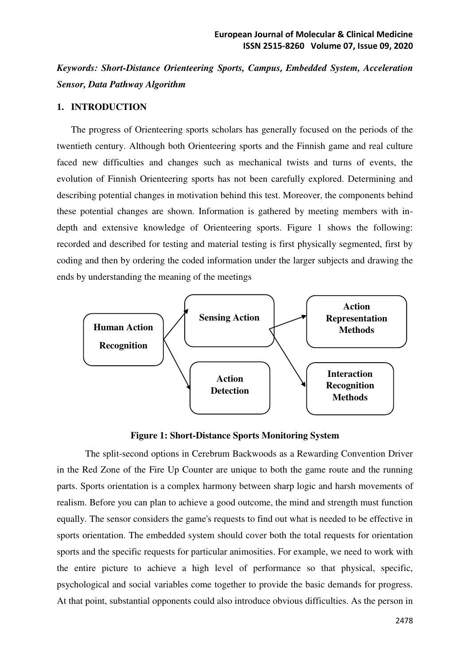*Keywords: Short-Distance Orienteering Sports, Campus, Embedded System, Acceleration Sensor, Data Pathway Algorithm*

## **1. INTRODUCTION**

The progress of Orienteering sports scholars has generally focused on the periods of the twentieth century. Although both Orienteering sports and the Finnish game and real culture faced new difficulties and changes such as mechanical twists and turns of events, the evolution of Finnish Orienteering sports has not been carefully explored. Determining and describing potential changes in motivation behind this test. Moreover, the components behind these potential changes are shown. Information is gathered by meeting members with indepth and extensive knowledge of Orienteering sports. Figure 1 shows the following: recorded and described for testing and material testing is first physically segmented, first by coding and then by ordering the coded information under the larger subjects and drawing the ends by understanding the meaning of the meetings



#### **Figure 1: Short-Distance Sports Monitoring System**

The split-second options in Cerebrum Backwoods as a Rewarding Convention Driver in the Red Zone of the Fire Up Counter are unique to both the game route and the running parts. Sports orientation is a complex harmony between sharp logic and harsh movements of realism. Before you can plan to achieve a good outcome, the mind and strength must function equally. The sensor considers the game's requests to find out what is needed to be effective in sports orientation. The embedded system should cover both the total requests for orientation sports and the specific requests for particular animosities. For example, we need to work with the entire picture to achieve a high level of performance so that physical, specific, psychological and social variables come together to provide the basic demands for progress. At that point, substantial opponents could also introduce obvious difficulties. As the person in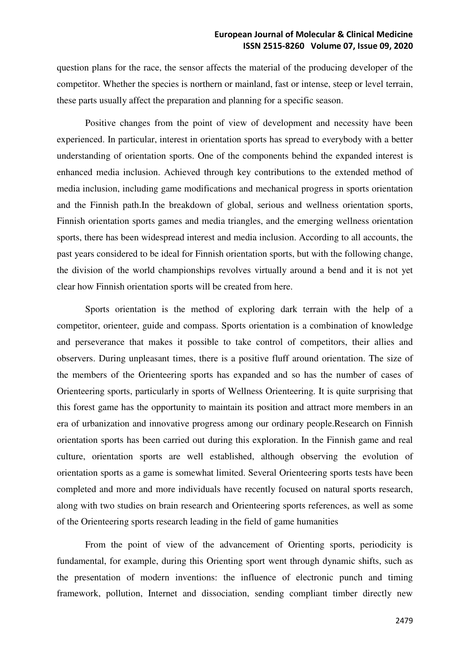question plans for the race, the sensor affects the material of the producing developer of the competitor. Whether the species is northern or mainland, fast or intense, steep or level terrain, these parts usually affect the preparation and planning for a specific season.

Positive changes from the point of view of development and necessity have been experienced. In particular, interest in orientation sports has spread to everybody with a better understanding of orientation sports. One of the components behind the expanded interest is enhanced media inclusion. Achieved through key contributions to the extended method of media inclusion, including game modifications and mechanical progress in sports orientation and the Finnish path.In the breakdown of global, serious and wellness orientation sports, Finnish orientation sports games and media triangles, and the emerging wellness orientation sports, there has been widespread interest and media inclusion. According to all accounts, the past years considered to be ideal for Finnish orientation sports, but with the following change, the division of the world championships revolves virtually around a bend and it is not yet clear how Finnish orientation sports will be created from here.

Sports orientation is the method of exploring dark terrain with the help of a competitor, orienteer, guide and compass. Sports orientation is a combination of knowledge and perseverance that makes it possible to take control of competitors, their allies and observers. During unpleasant times, there is a positive fluff around orientation. The size of the members of the Orienteering sports has expanded and so has the number of cases of Orienteering sports, particularly in sports of Wellness Orienteering. It is quite surprising that this forest game has the opportunity to maintain its position and attract more members in an era of urbanization and innovative progress among our ordinary people.Research on Finnish orientation sports has been carried out during this exploration. In the Finnish game and real culture, orientation sports are well established, although observing the evolution of orientation sports as a game is somewhat limited. Several Orienteering sports tests have been completed and more and more individuals have recently focused on natural sports research, along with two studies on brain research and Orienteering sports references, as well as some of the Orienteering sports research leading in the field of game humanities

From the point of view of the advancement of Orienting sports, periodicity is fundamental, for example, during this Orienting sport went through dynamic shifts, such as the presentation of modern inventions: the influence of electronic punch and timing framework, pollution, Internet and dissociation, sending compliant timber directly new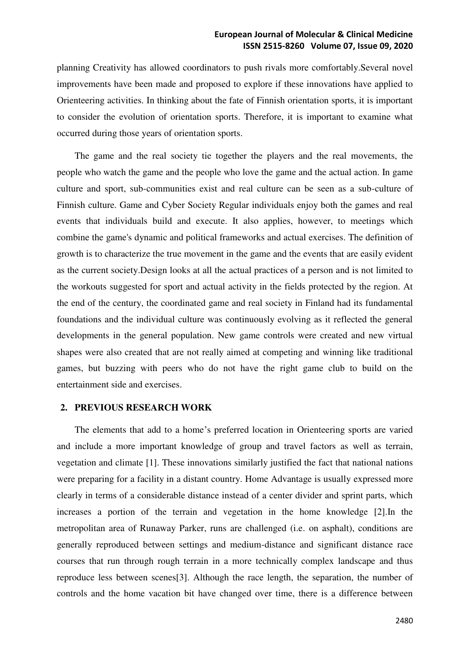planning Creativity has allowed coordinators to push rivals more comfortably.Several novel improvements have been made and proposed to explore if these innovations have applied to Orienteering activities. In thinking about the fate of Finnish orientation sports, it is important to consider the evolution of orientation sports. Therefore, it is important to examine what occurred during those years of orientation sports.

The game and the real society tie together the players and the real movements, the people who watch the game and the people who love the game and the actual action. In game culture and sport, sub-communities exist and real culture can be seen as a sub-culture of Finnish culture. Game and Cyber Society Regular individuals enjoy both the games and real events that individuals build and execute. It also applies, however, to meetings which combine the game's dynamic and political frameworks and actual exercises. The definition of growth is to characterize the true movement in the game and the events that are easily evident as the current society.Design looks at all the actual practices of a person and is not limited to the workouts suggested for sport and actual activity in the fields protected by the region. At the end of the century, the coordinated game and real society in Finland had its fundamental foundations and the individual culture was continuously evolving as it reflected the general developments in the general population. New game controls were created and new virtual shapes were also created that are not really aimed at competing and winning like traditional games, but buzzing with peers who do not have the right game club to build on the entertainment side and exercises.

### **2. PREVIOUS RESEARCH WORK**

The elements that add to a home's preferred location in Orienteering sports are varied and include a more important knowledge of group and travel factors as well as terrain, vegetation and climate [1]. These innovations similarly justified the fact that national nations were preparing for a facility in a distant country. Home Advantage is usually expressed more clearly in terms of a considerable distance instead of a center divider and sprint parts, which increases a portion of the terrain and vegetation in the home knowledge [2].In the metropolitan area of Runaway Parker, runs are challenged (i.e. on asphalt), conditions are generally reproduced between settings and medium-distance and significant distance race courses that run through rough terrain in a more technically complex landscape and thus reproduce less between scenes[3]. Although the race length, the separation, the number of controls and the home vacation bit have changed over time, there is a difference between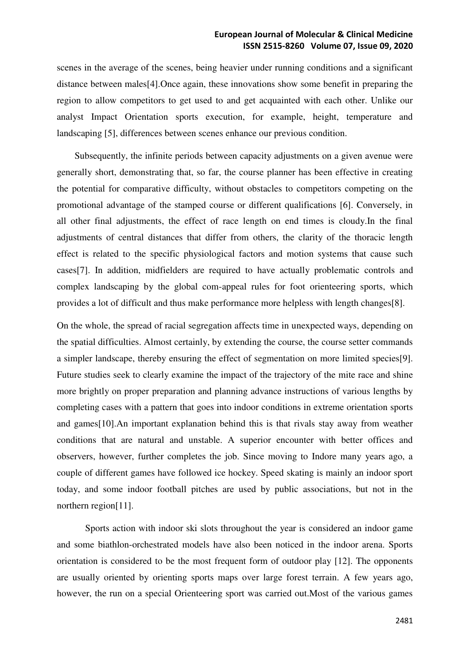scenes in the average of the scenes, being heavier under running conditions and a significant distance between males[4].Once again, these innovations show some benefit in preparing the region to allow competitors to get used to and get acquainted with each other. Unlike our analyst Impact Orientation sports execution, for example, height, temperature and landscaping [5], differences between scenes enhance our previous condition.

Subsequently, the infinite periods between capacity adjustments on a given avenue were generally short, demonstrating that, so far, the course planner has been effective in creating the potential for comparative difficulty, without obstacles to competitors competing on the promotional advantage of the stamped course or different qualifications [6]. Conversely, in all other final adjustments, the effect of race length on end times is cloudy.In the final adjustments of central distances that differ from others, the clarity of the thoracic length effect is related to the specific physiological factors and motion systems that cause such cases[7]. In addition, midfielders are required to have actually problematic controls and complex landscaping by the global com-appeal rules for foot orienteering sports, which provides a lot of difficult and thus make performance more helpless with length changes[8].

On the whole, the spread of racial segregation affects time in unexpected ways, depending on the spatial difficulties. Almost certainly, by extending the course, the course setter commands a simpler landscape, thereby ensuring the effect of segmentation on more limited species[9]. Future studies seek to clearly examine the impact of the trajectory of the mite race and shine more brightly on proper preparation and planning advance instructions of various lengths by completing cases with a pattern that goes into indoor conditions in extreme orientation sports and games[10].An important explanation behind this is that rivals stay away from weather conditions that are natural and unstable. A superior encounter with better offices and observers, however, further completes the job. Since moving to Indore many years ago, a couple of different games have followed ice hockey. Speed skating is mainly an indoor sport today, and some indoor football pitches are used by public associations, but not in the northern region[11].

 Sports action with indoor ski slots throughout the year is considered an indoor game and some biathlon-orchestrated models have also been noticed in the indoor arena. Sports orientation is considered to be the most frequent form of outdoor play [12]. The opponents are usually oriented by orienting sports maps over large forest terrain. A few years ago, however, the run on a special Orienteering sport was carried out.Most of the various games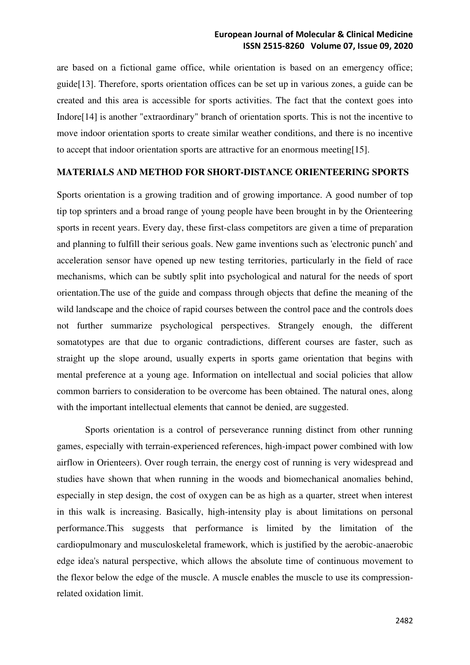are based on a fictional game office, while orientation is based on an emergency office; guide[13]. Therefore, sports orientation offices can be set up in various zones, a guide can be created and this area is accessible for sports activities. The fact that the context goes into Indore[14] is another "extraordinary" branch of orientation sports. This is not the incentive to move indoor orientation sports to create similar weather conditions, and there is no incentive to accept that indoor orientation sports are attractive for an enormous meeting[15].

### **MATERIALS AND METHOD FOR SHORT-DISTANCE ORIENTEERING SPORTS**

Sports orientation is a growing tradition and of growing importance. A good number of top tip top sprinters and a broad range of young people have been brought in by the Orienteering sports in recent years. Every day, these first-class competitors are given a time of preparation and planning to fulfill their serious goals. New game inventions such as 'electronic punch' and acceleration sensor have opened up new testing territories, particularly in the field of race mechanisms, which can be subtly split into psychological and natural for the needs of sport orientation.The use of the guide and compass through objects that define the meaning of the wild landscape and the choice of rapid courses between the control pace and the controls does not further summarize psychological perspectives. Strangely enough, the different somatotypes are that due to organic contradictions, different courses are faster, such as straight up the slope around, usually experts in sports game orientation that begins with mental preference at a young age. Information on intellectual and social policies that allow common barriers to consideration to be overcome has been obtained. The natural ones, along with the important intellectual elements that cannot be denied, are suggested.

Sports orientation is a control of perseverance running distinct from other running games, especially with terrain-experienced references, high-impact power combined with low airflow in Orienteers). Over rough terrain, the energy cost of running is very widespread and studies have shown that when running in the woods and biomechanical anomalies behind, especially in step design, the cost of oxygen can be as high as a quarter, street when interest in this walk is increasing. Basically, high-intensity play is about limitations on personal performance.This suggests that performance is limited by the limitation of the cardiopulmonary and musculoskeletal framework, which is justified by the aerobic-anaerobic edge idea's natural perspective, which allows the absolute time of continuous movement to the flexor below the edge of the muscle. A muscle enables the muscle to use its compressionrelated oxidation limit.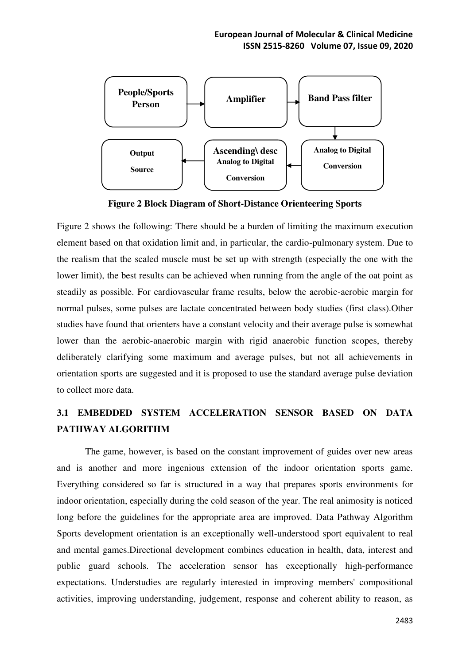

**Figure 2 Block Diagram of Short-Distance Orienteering Sports** 

Figure 2 shows the following: There should be a burden of limiting the maximum execution element based on that oxidation limit and, in particular, the cardio-pulmonary system. Due to the realism that the scaled muscle must be set up with strength (especially the one with the lower limit), the best results can be achieved when running from the angle of the oat point as steadily as possible. For cardiovascular frame results, below the aerobic-aerobic margin for normal pulses, some pulses are lactate concentrated between body studies (first class).Other studies have found that orienters have a constant velocity and their average pulse is somewhat lower than the aerobic-anaerobic margin with rigid anaerobic function scopes, thereby deliberately clarifying some maximum and average pulses, but not all achievements in orientation sports are suggested and it is proposed to use the standard average pulse deviation to collect more data.

# **3.1 EMBEDDED SYSTEM ACCELERATION SENSOR BASED ON DATA PATHWAY ALGORITHM**

The game, however, is based on the constant improvement of guides over new areas and is another and more ingenious extension of the indoor orientation sports game. Everything considered so far is structured in a way that prepares sports environments for indoor orientation, especially during the cold season of the year. The real animosity is noticed long before the guidelines for the appropriate area are improved. Data Pathway Algorithm Sports development orientation is an exceptionally well-understood sport equivalent to real and mental games.Directional development combines education in health, data, interest and public guard schools. The acceleration sensor has exceptionally high-performance expectations. Understudies are regularly interested in improving members' compositional activities, improving understanding, judgement, response and coherent ability to reason, as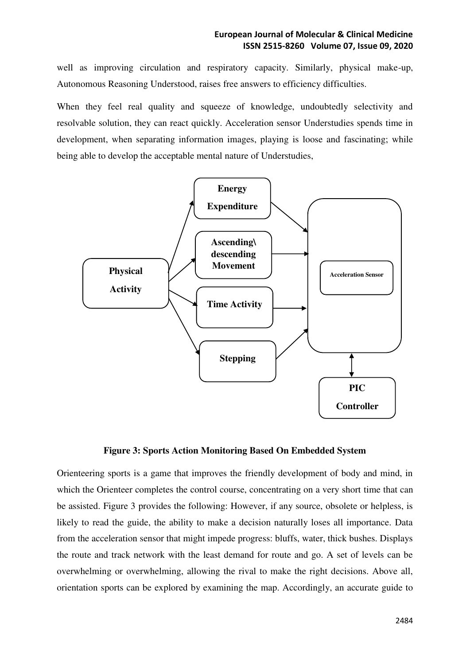well as improving circulation and respiratory capacity. Similarly, physical make-up, Autonomous Reasoning Understood, raises free answers to efficiency difficulties.

When they feel real quality and squeeze of knowledge, undoubtedly selectivity and resolvable solution, they can react quickly. Acceleration sensor Understudies spends time in development, when separating information images, playing is loose and fascinating; while being able to develop the acceptable mental nature of Understudies,



### **Figure 3: Sports Action Monitoring Based On Embedded System**

Orienteering sports is a game that improves the friendly development of body and mind, in which the Orienteer completes the control course, concentrating on a very short time that can be assisted. Figure 3 provides the following: However, if any source, obsolete or helpless, is likely to read the guide, the ability to make a decision naturally loses all importance. Data from the acceleration sensor that might impede progress: bluffs, water, thick bushes. Displays the route and track network with the least demand for route and go. A set of levels can be overwhelming or overwhelming, allowing the rival to make the right decisions. Above all, orientation sports can be explored by examining the map. Accordingly, an accurate guide to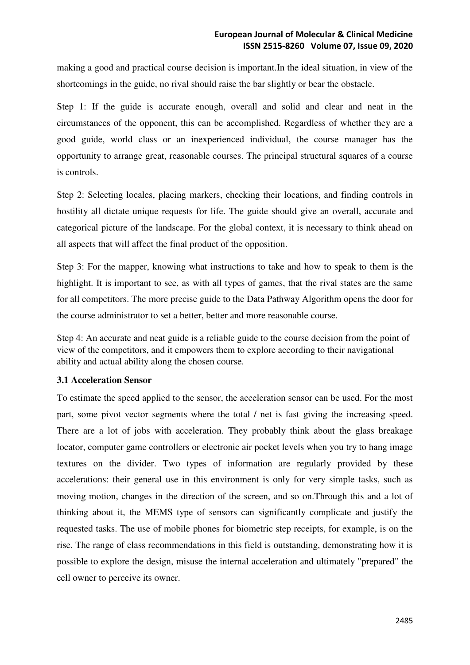making a good and practical course decision is important.In the ideal situation, in view of the shortcomings in the guide, no rival should raise the bar slightly or bear the obstacle.

Step 1: If the guide is accurate enough, overall and solid and clear and neat in the circumstances of the opponent, this can be accomplished. Regardless of whether they are a good guide, world class or an inexperienced individual, the course manager has the opportunity to arrange great, reasonable courses. The principal structural squares of a course is controls.

Step 2: Selecting locales, placing markers, checking their locations, and finding controls in hostility all dictate unique requests for life. The guide should give an overall, accurate and categorical picture of the landscape. For the global context, it is necessary to think ahead on all aspects that will affect the final product of the opposition.

Step 3: For the mapper, knowing what instructions to take and how to speak to them is the highlight. It is important to see, as with all types of games, that the rival states are the same for all competitors. The more precise guide to the Data Pathway Algorithm opens the door for the course administrator to set a better, better and more reasonable course.

Step 4: An accurate and neat guide is a reliable guide to the course decision from the point of view of the competitors, and it empowers them to explore according to their navigational ability and actual ability along the chosen course.

### **3.1 Acceleration Sensor**

To estimate the speed applied to the sensor, the acceleration sensor can be used. For the most part, some pivot vector segments where the total / net is fast giving the increasing speed. There are a lot of jobs with acceleration. They probably think about the glass breakage locator, computer game controllers or electronic air pocket levels when you try to hang image textures on the divider. Two types of information are regularly provided by these accelerations: their general use in this environment is only for very simple tasks, such as moving motion, changes in the direction of the screen, and so on.Through this and a lot of thinking about it, the MEMS type of sensors can significantly complicate and justify the requested tasks. The use of mobile phones for biometric step receipts, for example, is on the rise. The range of class recommendations in this field is outstanding, demonstrating how it is possible to explore the design, misuse the internal acceleration and ultimately "prepared" the cell owner to perceive its owner.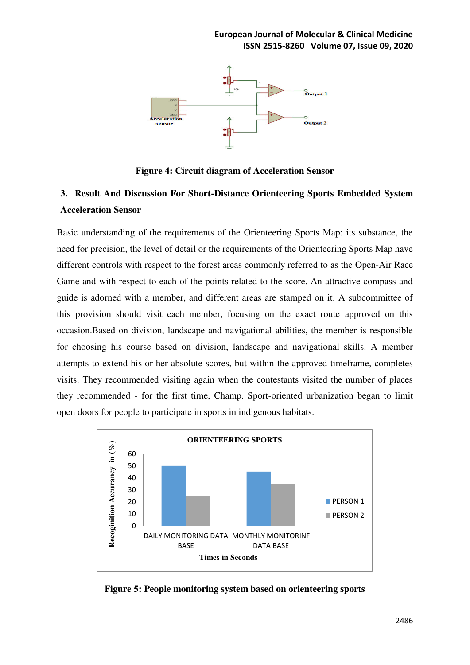

**Figure 4: Circuit diagram of Acceleration Sensor** 

# **3. Result And Discussion For Short-Distance Orienteering Sports Embedded System Acceleration Sensor**

Basic understanding of the requirements of the Orienteering Sports Map: its substance, the need for precision, the level of detail or the requirements of the Orienteering Sports Map have different controls with respect to the forest areas commonly referred to as the Open-Air Race Game and with respect to each of the points related to the score. An attractive compass and guide is adorned with a member, and different areas are stamped on it. A subcommittee of this provision should visit each member, focusing on the exact route approved on this occasion.Based on division, landscape and navigational abilities, the member is responsible for choosing his course based on division, landscape and navigational skills. A member attempts to extend his or her absolute scores, but within the approved timeframe, completes visits. They recommended visiting again when the contestants visited the number of places they recommended - for the first time, Champ. Sport-oriented urbanization began to limit open doors for people to participate in sports in indigenous habitats.



**Figure 5: People monitoring system based on orienteering sports**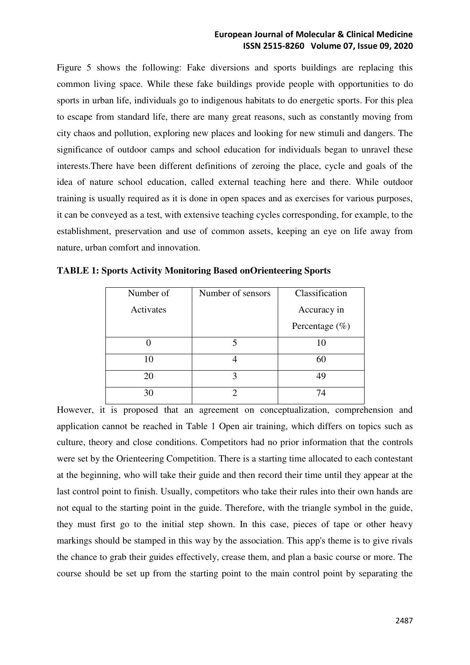Figure 5 shows the following: Fake diversions and sports buildings are replacing this common living space. While these fake buildings provide people with opportunities to do sports in urban life, individuals go to indigenous habitats to do energetic sports. For this plea to escape from standard life, there are many great reasons, such as constantly moving from city chaos and pollution, exploring new places and looking for new stimuli and dangers. The significance of outdoor camps and school education for individuals began to unravel these interests.There have been different definitions of zeroing the place, cycle and goals of the idea of nature school education, called external teaching here and there. While outdoor training is usually required as it is done in open spaces and as exercises for various purposes, it can be conveyed as a test, with extensive teaching cycles corresponding, for example, to the establishment, preservation and use of common assets, keeping an eye on life away from nature, urban comfort and innovation.

| Number of | Number of sensors | Classification     |  |
|-----------|-------------------|--------------------|--|
| Activates |                   | Accuracy in        |  |
|           |                   | Percentage $(\% )$ |  |
|           |                   | 10                 |  |
| 10        |                   | 60                 |  |
| 20        |                   | 49                 |  |
| 30        |                   | 74                 |  |

|  |  | <b>TABLE 1: Sports Activity Monitoring Based onOrienteering Sports</b> |  |
|--|--|------------------------------------------------------------------------|--|
|  |  |                                                                        |  |

However, it is proposed that an agreement on conceptualization, comprehension and application cannot be reached in Table 1 Open air training, which differs on topics such as culture, theory and close conditions. Competitors had no prior information that the controls were set by the Orienteering Competition. There is a starting time allocated to each contestant at the beginning, who will take their guide and then record their time until they appear at the last control point to finish. Usually, competitors who take their rules into their own hands are not equal to the starting point in the guide. Therefore, with the triangle symbol in the guide, they must first go to the initial step shown. In this case, pieces of tape or other heavy markings should be stamped in this way by the association. This app's theme is to give rivals the chance to grab their guides effectively, crease them, and plan a basic course or more. The course should be set up from the starting point to the main control point by separating the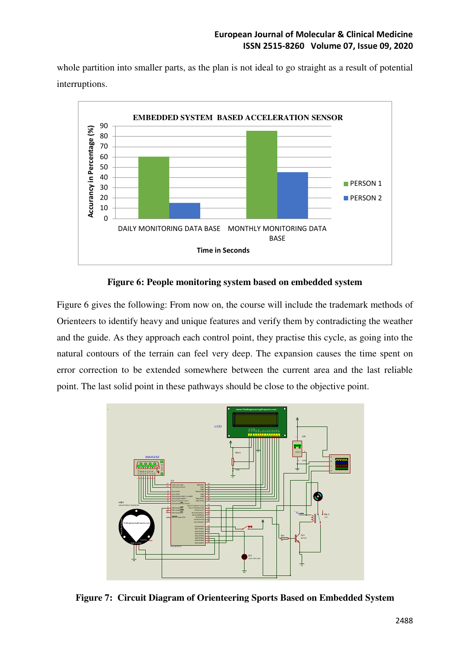whole partition into smaller parts, as the plan is not ideal to go straight as a result of potential interruptions.



**Figure 6: People monitoring system based on embedded system** 

Figure 6 gives the following: From now on, the course will include the trademark methods of Orienteers to identify heavy and unique features and verify them by contradicting the weather and the guide. As they approach each control point, they practise this cycle, as going into the natural contours of the terrain can feel very deep. The expansion causes the time spent on error correction to be extended somewhere between the current area and the last reliable point. The last solid point in these pathways should be close to the objective point.



**Figure 7: Circuit Diagram of Orienteering Sports Based on Embedded System**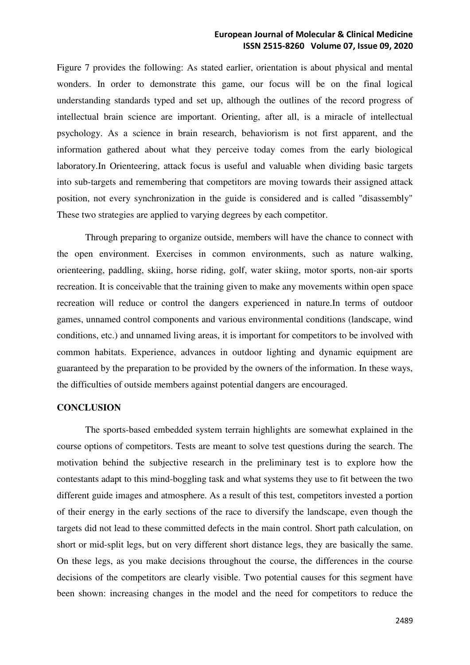Figure 7 provides the following: As stated earlier, orientation is about physical and mental wonders. In order to demonstrate this game, our focus will be on the final logical understanding standards typed and set up, although the outlines of the record progress of intellectual brain science are important. Orienting, after all, is a miracle of intellectual psychology. As a science in brain research, behaviorism is not first apparent, and the information gathered about what they perceive today comes from the early biological laboratory.In Orienteering, attack focus is useful and valuable when dividing basic targets into sub-targets and remembering that competitors are moving towards their assigned attack position, not every synchronization in the guide is considered and is called "disassembly" These two strategies are applied to varying degrees by each competitor.

Through preparing to organize outside, members will have the chance to connect with the open environment. Exercises in common environments, such as nature walking, orienteering, paddling, skiing, horse riding, golf, water skiing, motor sports, non-air sports recreation. It is conceivable that the training given to make any movements within open space recreation will reduce or control the dangers experienced in nature.In terms of outdoor games, unnamed control components and various environmental conditions (landscape, wind conditions, etc.) and unnamed living areas, it is important for competitors to be involved with common habitats. Experience, advances in outdoor lighting and dynamic equipment are guaranteed by the preparation to be provided by the owners of the information. In these ways, the difficulties of outside members against potential dangers are encouraged.

### **CONCLUSION**

The sports-based embedded system terrain highlights are somewhat explained in the course options of competitors. Tests are meant to solve test questions during the search. The motivation behind the subjective research in the preliminary test is to explore how the contestants adapt to this mind-boggling task and what systems they use to fit between the two different guide images and atmosphere. As a result of this test, competitors invested a portion of their energy in the early sections of the race to diversify the landscape, even though the targets did not lead to these committed defects in the main control. Short path calculation, on short or mid-split legs, but on very different short distance legs, they are basically the same. On these legs, as you make decisions throughout the course, the differences in the course decisions of the competitors are clearly visible. Two potential causes for this segment have been shown: increasing changes in the model and the need for competitors to reduce the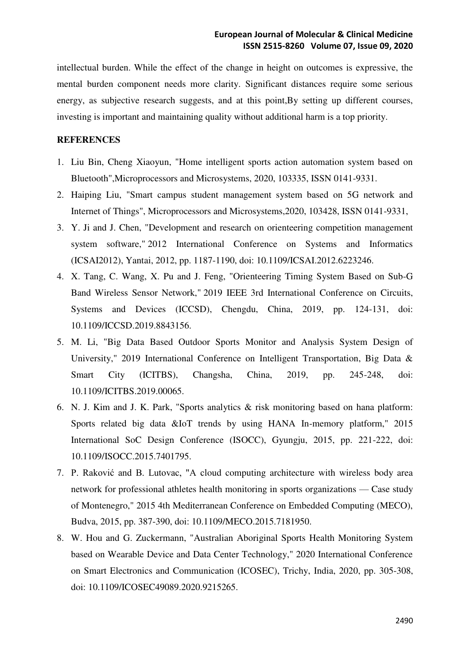intellectual burden. While the effect of the change in height on outcomes is expressive, the mental burden component needs more clarity. Significant distances require some serious energy, as subjective research suggests, and at this point,By setting up different courses, investing is important and maintaining quality without additional harm is a top priority.

### **REFERENCES**

- 1. Liu Bin, Cheng Xiaoyun, "Home intelligent sports action automation system based on Bluetooth",Microprocessors and Microsystems, 2020, 103335, ISSN 0141-9331.
- 2. Haiping Liu, "Smart campus student management system based on 5G network and Internet of Things", Microprocessors and Microsystems,2020, 103428, ISSN 0141-9331,
- 3. Y. Ji and J. Chen, "Development and research on orienteering competition management system software," 2012 International Conference on Systems and Informatics (ICSAI2012), Yantai, 2012, pp. 1187-1190, doi: 10.1109/ICSAI.2012.6223246.
- 4. X. Tang, C. Wang, X. Pu and J. Feng, "Orienteering Timing System Based on Sub-G Band Wireless Sensor Network," 2019 IEEE 3rd International Conference on Circuits, Systems and Devices (ICCSD), Chengdu, China, 2019, pp. 124-131, doi: 10.1109/ICCSD.2019.8843156.
- 5. M. Li, "Big Data Based Outdoor Sports Monitor and Analysis System Design of University," 2019 International Conference on Intelligent Transportation, Big Data & Smart City (ICITBS), Changsha, China, 2019, pp. 245-248, doi: 10.1109/ICITBS.2019.00065.
- 6. N. J. Kim and J. K. Park, "Sports analytics & risk monitoring based on hana platform: Sports related big data &IoT trends by using HANA In-memory platform," 2015 International SoC Design Conference (ISOCC), Gyungju, 2015, pp. 221-222, doi: 10.1109/ISOCC.2015.7401795.
- 7. P. Raković and B. Lutovac, "A cloud computing architecture with wireless body area network for professional athletes health monitoring in sports organizations — Case study of Montenegro," 2015 4th Mediterranean Conference on Embedded Computing (MECO), Budva, 2015, pp. 387-390, doi: 10.1109/MECO.2015.7181950.
- 8. W. Hou and G. Zuckermann, "Australian Aboriginal Sports Health Monitoring System based on Wearable Device and Data Center Technology," 2020 International Conference on Smart Electronics and Communication (ICOSEC), Trichy, India, 2020, pp. 305-308, doi: 10.1109/ICOSEC49089.2020.9215265.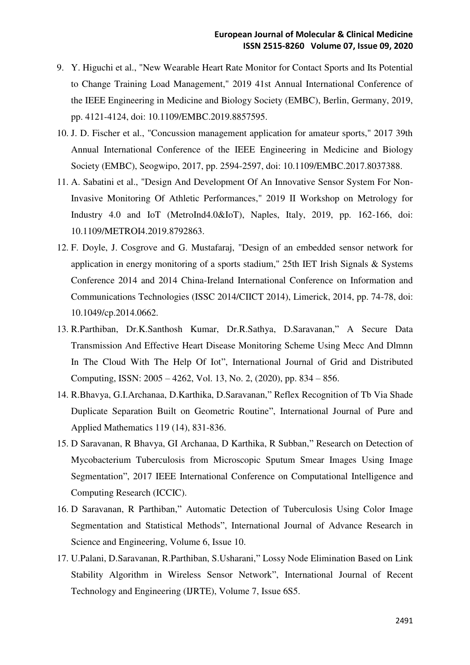- 9. Y. Higuchi et al., "New Wearable Heart Rate Monitor for Contact Sports and Its Potential to Change Training Load Management," 2019 41st Annual International Conference of the IEEE Engineering in Medicine and Biology Society (EMBC), Berlin, Germany, 2019, pp. 4121-4124, doi: 10.1109/EMBC.2019.8857595.
- 10. J. D. Fischer et al., "Concussion management application for amateur sports," 2017 39th Annual International Conference of the IEEE Engineering in Medicine and Biology Society (EMBC), Seogwipo, 2017, pp. 2594-2597, doi: 10.1109/EMBC.2017.8037388.
- 11. A. Sabatini et al., "Design And Development Of An Innovative Sensor System For Non-Invasive Monitoring Of Athletic Performances," 2019 II Workshop on Metrology for Industry 4.0 and IoT (MetroInd4.0&IoT), Naples, Italy, 2019, pp. 162-166, doi: 10.1109/METROI4.2019.8792863.
- 12. F. Doyle, J. Cosgrove and G. Mustafaraj, "Design of an embedded sensor network for application in energy monitoring of a sports stadium," 25th IET Irish Signals & Systems Conference 2014 and 2014 China-Ireland International Conference on Information and Communications Technologies (ISSC 2014/CIICT 2014), Limerick, 2014, pp. 74-78, doi: 10.1049/cp.2014.0662.
- 13. R.Parthiban, Dr.K.Santhosh Kumar, Dr.R.Sathya, D.Saravanan," A Secure Data Transmission And Effective Heart Disease Monitoring Scheme Using Mecc And Dlmnn In The Cloud With The Help Of Iot", International Journal of Grid and Distributed Computing, ISSN: 2005 – 4262, Vol. 13, No. 2, (2020), pp. 834 – 856.
- 14. R.Bhavya, G.I.Archanaa, D.Karthika, D.Saravanan," Reflex Recognition of Tb Via Shade Duplicate Separation Built on Geometric Routine", International Journal of Pure and Applied Mathematics 119 (14), 831-836.
- 15. D Saravanan, R Bhavya, GI Archanaa, D Karthika, R Subban," Research on Detection of Mycobacterium Tuberculosis from Microscopic Sputum Smear Images Using Image Segmentation", 2017 IEEE International Conference on Computational Intelligence and Computing Research (ICCIC).
- 16. D Saravanan, R Parthiban," Automatic Detection of Tuberculosis Using Color Image Segmentation and Statistical Methods", International Journal of Advance Research in Science and Engineering, Volume 6, Issue 10.
- 17. U.Palani, D.Saravanan, R.Parthiban, S.Usharani," Lossy Node Elimination Based on Link Stability Algorithm in Wireless Sensor Network", International Journal of Recent Technology and Engineering (IJRTE), Volume 7, Issue 6S5.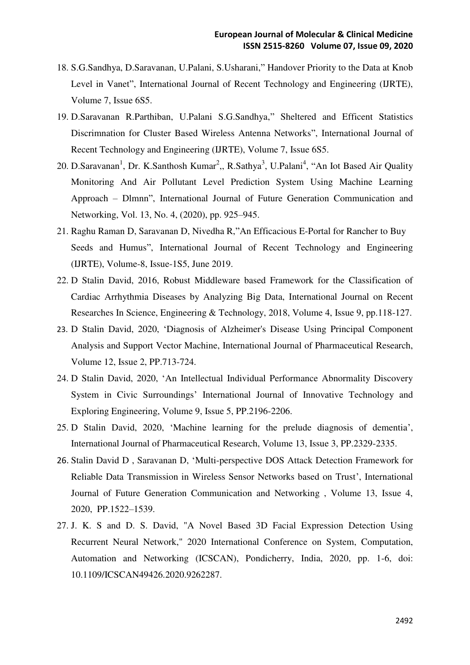- 18. S.G.Sandhya, D.Saravanan, U.Palani, S.Usharani," Handover Priority to the Data at Knob Level in Vanet", International Journal of Recent Technology and Engineering (IJRTE), Volume 7, Issue 6S5.
- 19. D.Saravanan R.Parthiban, U.Palani S.G.Sandhya," Sheltered and Efficent Statistics Discrimnation for Cluster Based Wireless Antenna Networks", International Journal of Recent Technology and Engineering (IJRTE), Volume 7, Issue 6S5.
- 20. D.Saravanan<sup>1</sup>, Dr. K.Santhosh Kumar<sup>2</sup>,, R.Sathya<sup>3</sup>, U.Palani<sup>4</sup>, "An Iot Based Air Quality Monitoring And Air Pollutant Level Prediction System Using Machine Learning Approach – Dlmnn", International Journal of Future Generation Communication and Networking, Vol. 13, No. 4, (2020), pp. 925–945.
- 21. Raghu Raman D, Saravanan D, Nivedha R,"An Efficacious E-Portal for Rancher to Buy Seeds and Humus", International Journal of Recent Technology and Engineering (IJRTE), Volume-8, Issue-1S5, June 2019.
- 22. D Stalin David, 2016, Robust Middleware based Framework for the Classification of Cardiac Arrhythmia Diseases by Analyzing Big Data, International Journal on Recent Researches In Science, Engineering & Technology, 2018, Volume 4, Issue 9, pp.118-127.
- 23. D Stalin David, 2020, 'Diagnosis of Alzheimer's Disease Using Principal Component Analysis and Support Vector Machine, International Journal of Pharmaceutical Research, Volume 12, Issue 2, PP.713-724.
- 24. D Stalin David, 2020, 'An Intellectual Individual Performance Abnormality Discovery System in Civic Surroundings' International Journal of Innovative Technology and Exploring Engineering, Volume 9, Issue 5, PP.2196-2206.
- 25. D Stalin David, 2020, 'Machine learning for the prelude diagnosis of dementia', International Journal of Pharmaceutical Research, Volume 13, Issue 3, PP.2329-2335.
- 26. Stalin David D , Saravanan D, 'Multi-perspective DOS Attack Detection Framework for Reliable Data Transmission in Wireless Sensor Networks based on Trust', International Journal of Future Generation Communication and Networking , Volume 13, Issue 4, 2020, PP.1522–1539.
- 27. J. K. S and D. S. David, "A Novel Based 3D Facial Expression Detection Using Recurrent Neural Network," 2020 International Conference on System, Computation, Automation and Networking (ICSCAN), Pondicherry, India, 2020, pp. 1-6, doi: 10.1109/ICSCAN49426.2020.9262287.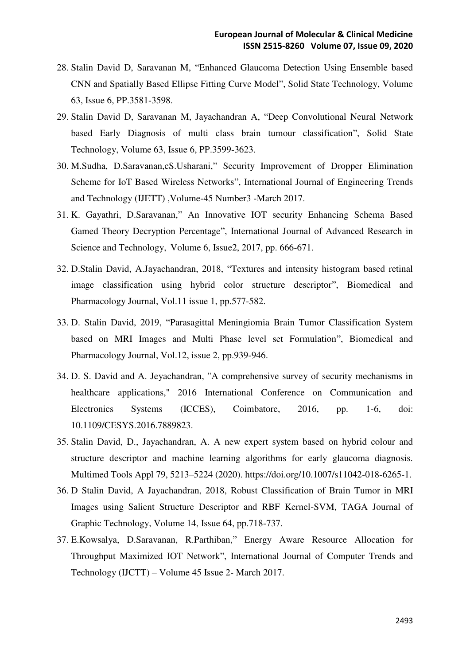- 28. Stalin David D, Saravanan M, "Enhanced Glaucoma Detection Using Ensemble based CNN and Spatially Based Ellipse Fitting Curve Model", Solid State Technology, Volume 63, Issue 6, PP.3581-3598.
- 29. Stalin David D, Saravanan M, Jayachandran A, "Deep Convolutional Neural Network based Early Diagnosis of multi class brain tumour classification", Solid State Technology, Volume 63, Issue 6, PP.3599-3623.
- 30. M.Sudha, D.Saravanan,cS.Usharani," Security Improvement of Dropper Elimination Scheme for IoT Based Wireless Networks", International Journal of Engineering Trends and Technology (IJETT) ,Volume-45 Number3 -March 2017.
- 31. K. Gayathri, D.Saravanan," An Innovative IOT security Enhancing Schema Based Gamed Theory Decryption Percentage", International Journal of Advanced Research in Science and Technology, Volume 6, Issue2, 2017, pp. 666-671.
- 32. D.Stalin David, A.Jayachandran, 2018, "Textures and intensity histogram based retinal image classification using hybrid color structure descriptor", Biomedical and Pharmacology Journal, Vol.11 issue 1, pp.577-582.
- 33. D. Stalin David, 2019, "Parasagittal Meningiomia Brain Tumor Classification System based on MRI Images and Multi Phase level set Formulation", Biomedical and Pharmacology Journal, Vol.12, issue 2, pp.939-946.
- 34. D. S. David and A. Jeyachandran, "A comprehensive survey of security mechanisms in healthcare applications," 2016 International Conference on Communication and Electronics Systems (ICCES), Coimbatore, 2016, pp. 1-6, doi: 10.1109/CESYS.2016.7889823.
- 35. Stalin David, D., Jayachandran, A. A new expert system based on hybrid colour and structure descriptor and machine learning algorithms for early glaucoma diagnosis. Multimed Tools Appl 79, 5213–5224 (2020). https://doi.org/10.1007/s11042-018-6265-1.
- 36. D Stalin David, A Jayachandran, 2018, Robust Classification of Brain Tumor in MRI Images using Salient Structure Descriptor and RBF Kernel-SVM, TAGA Journal of Graphic Technology, Volume 14, Issue 64, pp.718-737.
- 37. E.Kowsalya, D.Saravanan, R.Parthiban," Energy Aware Resource Allocation for Throughput Maximized IOT Network", International Journal of Computer Trends and Technology (IJCTT) – Volume 45 Issue 2- March 2017.